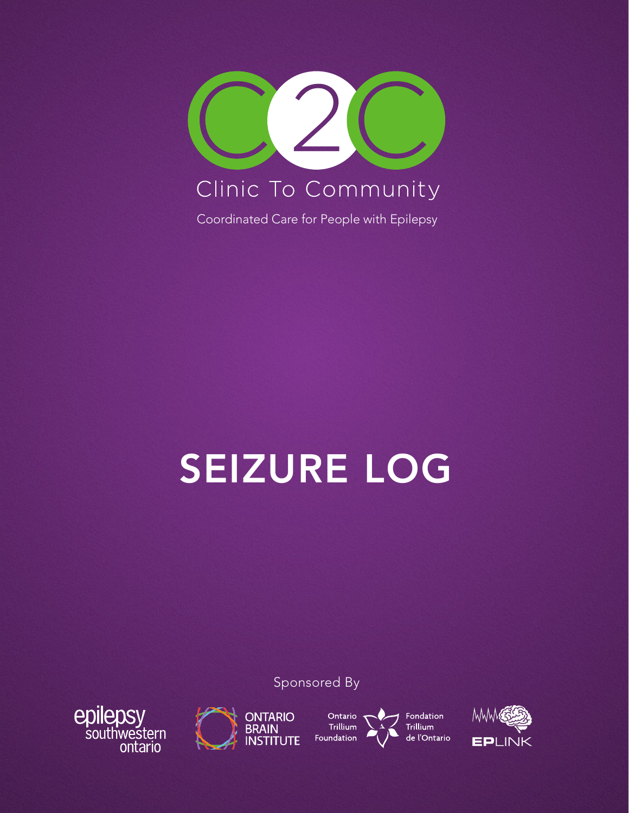

# SEIZURE LOG

Sponsored By





Ontario **Trillium** Foundation



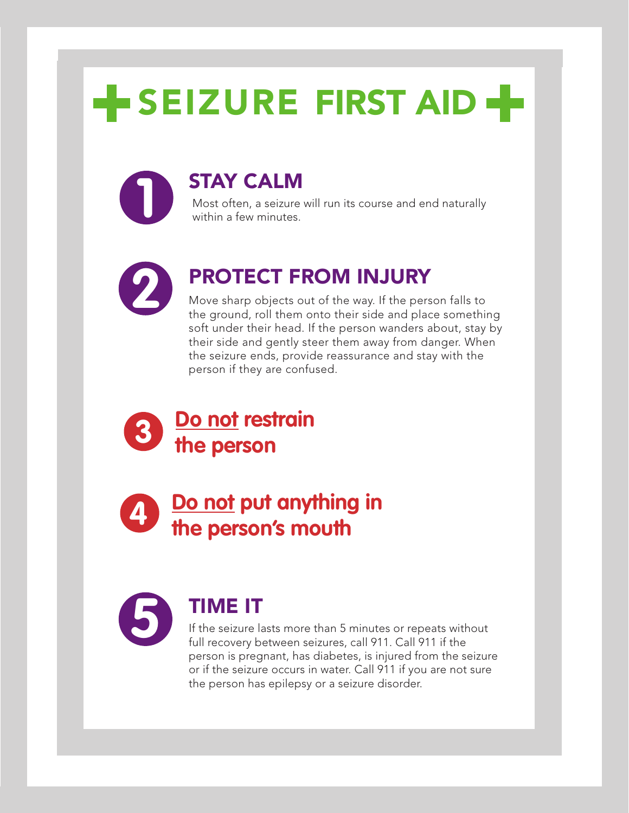## **SEIZURE FIRST AID +**

### **1** STAY CALM

Most often, a seizure will run its course and end naturally within a few minutes.



## **2** PROTECT FROM INJURY

Move sharp objects out of the way. If the person falls to the ground, roll them onto their side and place something soft under their head. If the person wanders about, stay by their side and gently steer them away from danger. When the seizure ends, provide reassurance and stay with the person if they are confused.



**Do not put anything in the person's mouth** 



### **5** TIME IT

If the seizure lasts more than 5 minutes or repeats without full recovery between seizures, call 911. Call 911 if the person is pregnant, has diabetes, is injured from the seizure or if the seizure occurs in water. Call 911 if you are not sure the person has epilepsy or a seizure disorder.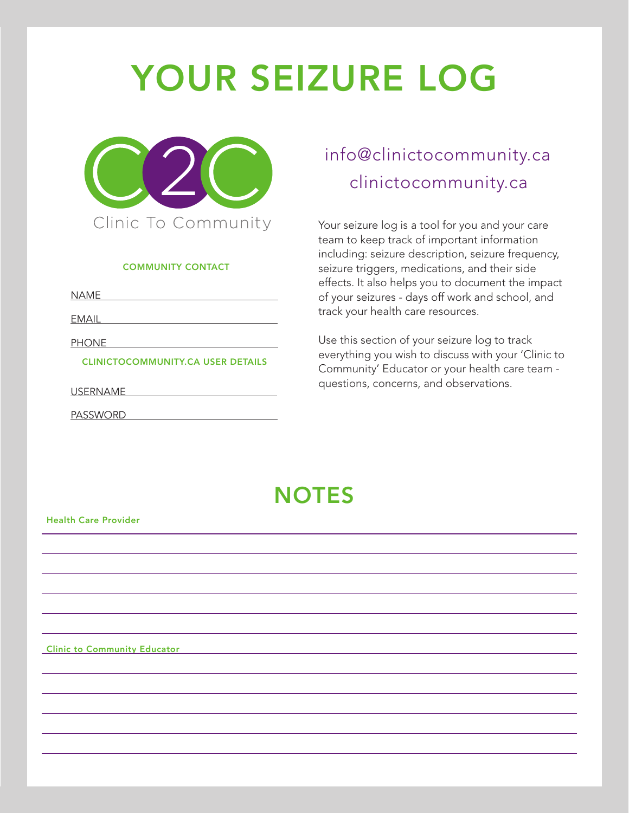## YOUR SEIZURE LOG



#### COMMUNITY CONTACT

**NAME** 

EMAIL

PHONE

CLINICTOCOMMUNITY.CA USER DETAILS

USERNAME

PASSWORD

## clinictocommunity.ca info@clinictocommunity.ca

Your seizure log is a tool for you and your care team to keep track of important information including: seizure description, seizure frequency, seizure triggers, medications, and their side effects. It also helps you to document the impact of your seizures - days off work and school, and track your health care resources.

Use this section of your seizure log to track everything you wish to discuss with your 'Clinic to Community' Educator or your health care team questions, concerns, and observations.

## **NOTES**

#### Health Care Provider

Clinic to Community Educator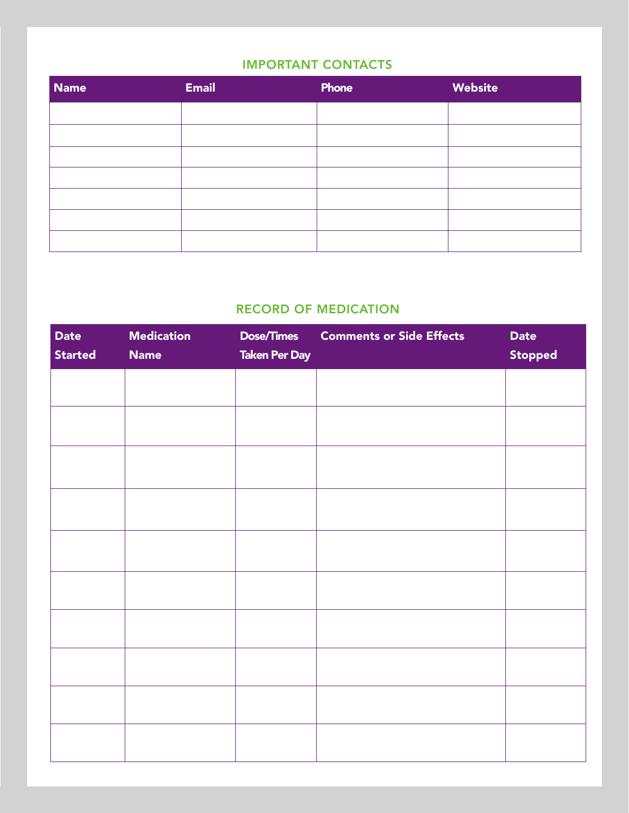#### IMPORTANT CONTACTS

| <b>Name</b> | <b>Email</b> | Phone | Website |
|-------------|--------------|-------|---------|
|             |              |       |         |
|             |              |       |         |
|             |              |       |         |
|             |              |       |         |
|             |              |       |         |
|             |              |       |         |
|             |              |       |         |

### RECORD OF MEDICATION

| <b>Date</b><br><b>Started</b> | <b>Medication</b><br><b>Name</b> | <b>Dose/Times</b><br><b>Taken Per Day</b> | <b>Comments or Side Effects</b> | <b>Date</b><br><b>Stopped</b> |
|-------------------------------|----------------------------------|-------------------------------------------|---------------------------------|-------------------------------|
|                               |                                  |                                           |                                 |                               |
|                               |                                  |                                           |                                 |                               |
|                               |                                  |                                           |                                 |                               |
|                               |                                  |                                           |                                 |                               |
|                               |                                  |                                           |                                 |                               |
|                               |                                  |                                           |                                 |                               |
|                               |                                  |                                           |                                 |                               |
|                               |                                  |                                           |                                 |                               |
|                               |                                  |                                           |                                 |                               |
|                               |                                  |                                           |                                 |                               |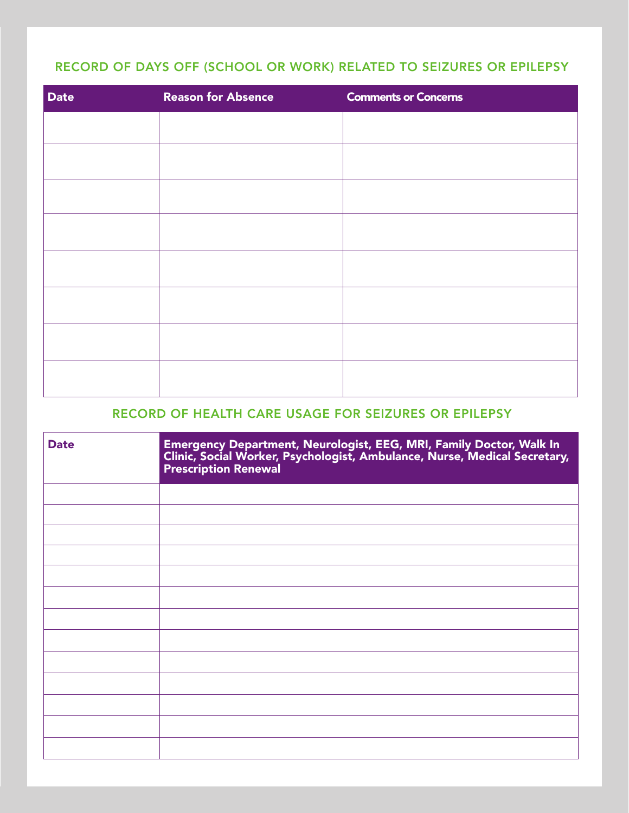### RECORD OF DAYS OFF (SCHOOL OR WORK) RELATED TO SEIZURES OR EPILEPSY

| <b>Date</b> | <b>Reason for Absence</b> | <b>Comments or Concerns</b> |
|-------------|---------------------------|-----------------------------|
|             |                           |                             |
|             |                           |                             |
|             |                           |                             |
|             |                           |                             |
|             |                           |                             |
|             |                           |                             |
|             |                           |                             |
|             |                           |                             |

### RECORD OF HEALTH CARE USAGE FOR SEIZURES OR EPILEPSY

| <b>Date</b> | Emergency Department, Neurologist, EEG, MRI, Family Doctor, Walk In<br>Clinic, Social Worker, Psychologist, Ambulance, Nurse, Medical Secretary,<br>Prescription Renewal |
|-------------|--------------------------------------------------------------------------------------------------------------------------------------------------------------------------|
|             |                                                                                                                                                                          |
|             |                                                                                                                                                                          |
|             |                                                                                                                                                                          |
|             |                                                                                                                                                                          |
|             |                                                                                                                                                                          |
|             |                                                                                                                                                                          |
|             |                                                                                                                                                                          |
|             |                                                                                                                                                                          |
|             |                                                                                                                                                                          |
|             |                                                                                                                                                                          |
|             |                                                                                                                                                                          |
|             |                                                                                                                                                                          |
|             |                                                                                                                                                                          |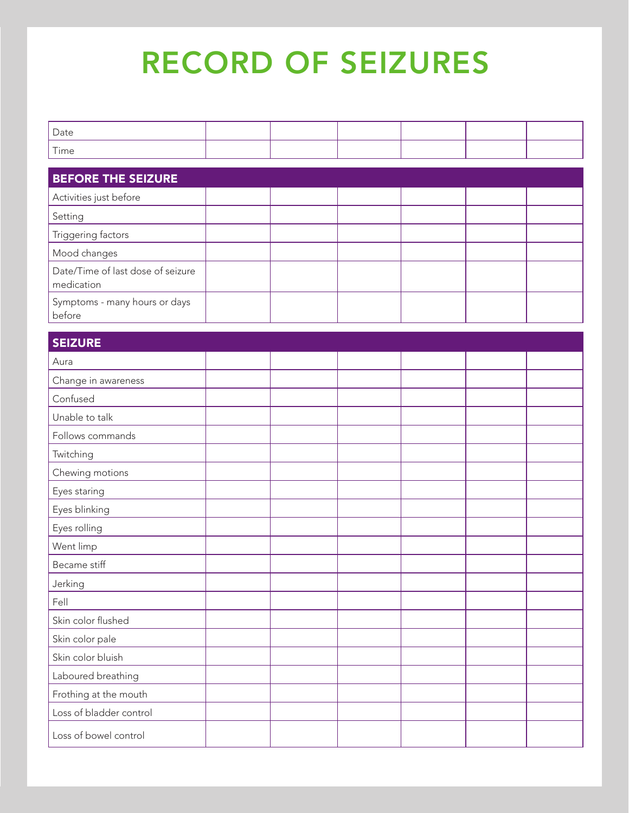## RECORD OF SEIZURES

| Date               |  |  |  |
|--------------------|--|--|--|
| $- \cdot$<br>l ime |  |  |  |

| <b>BEFORE THE SEIZURE</b>                       |  |  |  |
|-------------------------------------------------|--|--|--|
| Activities just before                          |  |  |  |
| Setting                                         |  |  |  |
| Triggering factors                              |  |  |  |
| Mood changes                                    |  |  |  |
| Date/Time of last dose of seizure<br>medication |  |  |  |
| Symptoms - many hours or days<br>before         |  |  |  |

| <b>SEIZURE</b> |  |
|----------------|--|
| Aura           |  |

| Aura                    |  |  |  |
|-------------------------|--|--|--|
| Change in awareness     |  |  |  |
| Confused                |  |  |  |
| Unable to talk          |  |  |  |
| Follows commands        |  |  |  |
| Twitching               |  |  |  |
| Chewing motions         |  |  |  |
| Eyes staring            |  |  |  |
| Eyes blinking           |  |  |  |
| Eyes rolling            |  |  |  |
| Went limp               |  |  |  |
| Became stiff            |  |  |  |
| Jerking                 |  |  |  |
| Fell                    |  |  |  |
| Skin color flushed      |  |  |  |
| Skin color pale         |  |  |  |
| Skin color bluish       |  |  |  |
| Laboured breathing      |  |  |  |
| Frothing at the mouth   |  |  |  |
| Loss of bladder control |  |  |  |
| Loss of bowel control   |  |  |  |